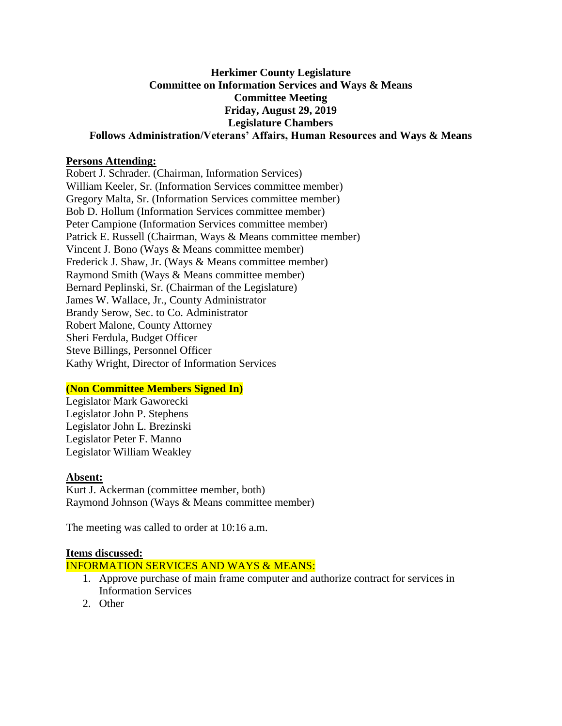# **Herkimer County Legislature Committee on Information Services and Ways & Means Committee Meeting Friday, August 29, 2019 Legislature Chambers**

**Follows Administration/Veterans' Affairs, Human Resources and Ways & Means**

### **Persons Attending:**

Robert J. Schrader. (Chairman, Information Services) William Keeler, Sr. (Information Services committee member) Gregory Malta, Sr. (Information Services committee member) Bob D. Hollum (Information Services committee member) Peter Campione (Information Services committee member) Patrick E. Russell (Chairman, Ways & Means committee member) Vincent J. Bono (Ways & Means committee member) Frederick J. Shaw, Jr. (Ways & Means committee member) Raymond Smith (Ways & Means committee member) Bernard Peplinski, Sr. (Chairman of the Legislature) James W. Wallace, Jr., County Administrator Brandy Serow, Sec. to Co. Administrator Robert Malone, County Attorney Sheri Ferdula, Budget Officer Steve Billings, Personnel Officer Kathy Wright, Director of Information Services

## **(Non Committee Members Signed In)**

Legislator Mark Gaworecki Legislator John P. Stephens Legislator John L. Brezinski Legislator Peter F. Manno Legislator William Weakley

#### **Absent:**

Kurt J. Ackerman (committee member, both) Raymond Johnson (Ways & Means committee member)

The meeting was called to order at 10:16 a.m.

#### **Items discussed:**

INFORMATION SERVICES AND WAYS & MEANS:

- 1. Approve purchase of main frame computer and authorize contract for services in Information Services
- 2. Other